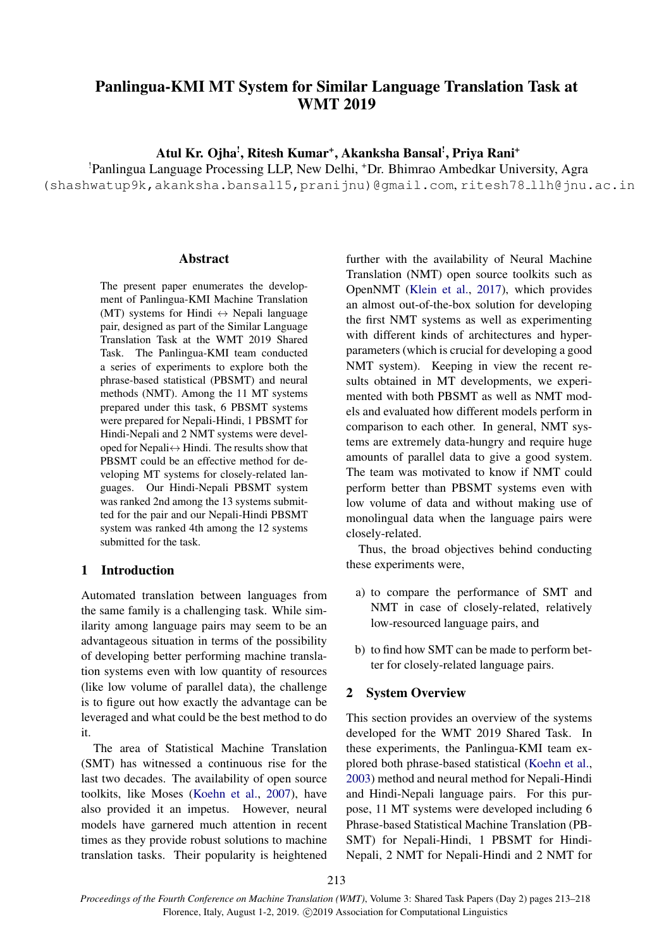# Panlingua-KMI MT System for Similar Language Translation Task at WMT 2019

Atul Kr. Ojha', Ritesh Kumar†, Akanksha Bansal', Priya Rani†

!Panlingua Language Processing LLP, New Delhi, <sup>+</sup>Dr. Bhimrao Ambedkar University, Agra

(shashwatup9k,akanksha.bansal15,pranijnu)@gmail.com, ritesh78 llh@jnu.ac.in

#### **Abstract**

The present paper enumerates the development of Panlingua-KMI Machine Translation (MT) systems for Hindi  $\leftrightarrow$  Nepali language pair, designed as part of the Similar Language Translation Task at the WMT 2019 Shared Task. The Panlingua-KMI team conducted a series of experiments to explore both the phrase-based statistical (PBSMT) and neural methods (NMT). Among the 11 MT systems prepared under this task, 6 PBSMT systems were prepared for Nepali-Hindi, 1 PBSMT for Hindi-Nepali and 2 NMT systems were developed for Nepali $\leftrightarrow$  Hindi. The results show that PBSMT could be an effective method for developing MT systems for closely-related languages. Our Hindi-Nepali PBSMT system was ranked 2nd among the 13 systems submitted for the pair and our Nepali-Hindi PBSMT system was ranked 4th among the 12 systems submitted for the task.

### 1 Introduction

Automated translation between languages from the same family is a challenging task. While similarity among language pairs may seem to be an advantageous situation in terms of the possibility of developing better performing machine translation systems even with low quantity of resources (like low volume of parallel data), the challenge is to figure out how exactly the advantage can be leveraged and what could be the best method to do it.

The area of Statistical Machine Translation (SMT) has witnessed a continuous rise for the last two decades. The availability of open source toolkits, like Moses [\(Koehn et al.,](#page-5-0) [2007\)](#page-5-0), have also provided it an impetus. However, neural models have garnered much attention in recent times as they provide robust solutions to machine translation tasks. Their popularity is heightened

further with the availability of Neural Machine Translation (NMT) open source toolkits such as OpenNMT [\(Klein et al.,](#page-5-1) [2017\)](#page-5-1), which provides an almost out-of-the-box solution for developing the first NMT systems as well as experimenting with different kinds of architectures and hyperparameters (which is crucial for developing a good NMT system). Keeping in view the recent results obtained in MT developments, we experimented with both PBSMT as well as NMT models and evaluated how different models perform in comparison to each other. In general, NMT systems are extremely data-hungry and require huge amounts of parallel data to give a good system. The team was motivated to know if NMT could perform better than PBSMT systems even with low volume of data and without making use of monolingual data when the language pairs were closely-related.

Thus, the broad objectives behind conducting these experiments were,

- a) to compare the performance of SMT and NMT in case of closely-related, relatively low-resourced language pairs, and
- b) to find how SMT can be made to perform better for closely-related language pairs.

#### 2 System Overview

This section provides an overview of the systems developed for the WMT 2019 Shared Task. In these experiments, the Panlingua-KMI team explored both phrase-based statistical [\(Koehn et al.,](#page-5-2) [2003\)](#page-5-2) method and neural method for Nepali-Hindi and Hindi-Nepali language pairs. For this purpose, 11 MT systems were developed including 6 Phrase-based Statistical Machine Translation (PB-SMT) for Nepali-Hindi, 1 PBSMT for Hindi-Nepali, 2 NMT for Nepali-Hindi and 2 NMT for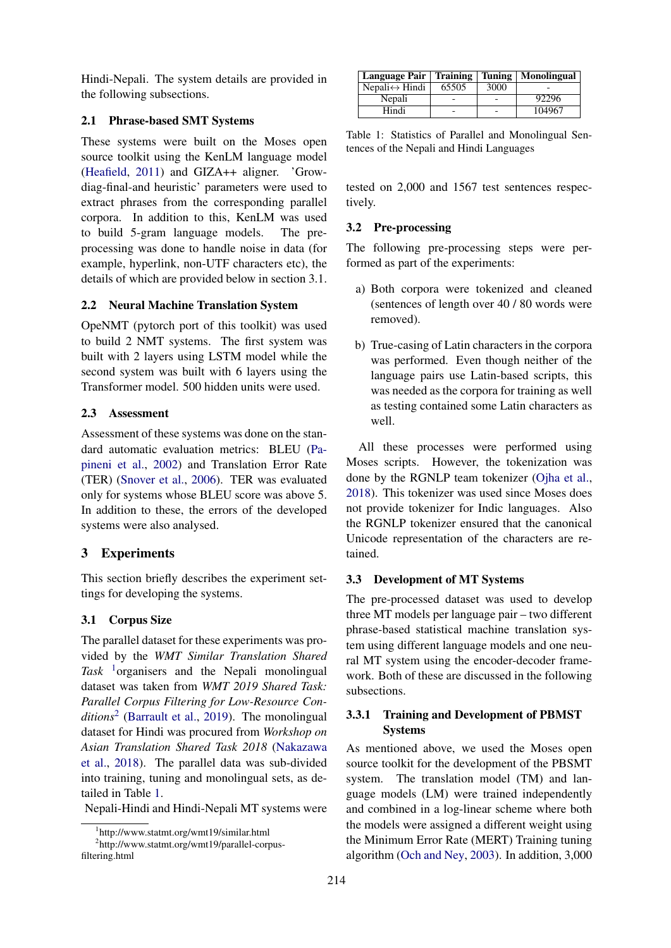Hindi-Nepali. The system details are provided in the following subsections.

### 2.1 Phrase-based SMT Systems

These systems were built on the Moses open source toolkit using the KenLM language model [\(Heafield,](#page-5-3) [2011\)](#page-5-3) and GIZA++ aligner. 'Growdiag-final-and heuristic' parameters were used to extract phrases from the corresponding parallel corpora. In addition to this, KenLM was used to build 5-gram language models. The preprocessing was done to handle noise in data (for example, hyperlink, non-UTF characters etc), the details of which are provided below in section 3.1.

### 2.2 Neural Machine Translation System

OpeNMT (pytorch port of this toolkit) was used to build 2 NMT systems. The first system was built with 2 layers using LSTM model while the second system was built with 6 layers using the Transformer model. 500 hidden units were used.

## 2.3 Assessment

Assessment of these systems was done on the standard automatic evaluation metrics: BLEU [\(Pa](#page-5-4)[pineni et al.,](#page-5-4) [2002\)](#page-5-4) and Translation Error Rate (TER) [\(Snover et al.,](#page-5-5) [2006\)](#page-5-5). TER was evaluated only for systems whose BLEU score was above 5. In addition to these, the errors of the developed systems were also analysed.

## 3 Experiments

This section briefly describes the experiment settings for developing the systems.

## 3.1 Corpus Size

The parallel dataset for these experiments was provided by the *WMT Similar Translation Shared Task* [1](#page-1-0)organisers and the Nepali monolingual dataset was taken from *WMT 2019 Shared Task: Parallel Corpus Filtering for Low-Resource Conditions*[2](#page-1-1) [\(Barrault et al.,](#page-4-0) [2019\)](#page-4-0). The monolingual dataset for Hindi was procured from *Workshop on Asian Translation Shared Task 2018* [\(Nakazawa](#page-5-6) [et al.,](#page-5-6) [2018\)](#page-5-6). The parallel data was sub-divided into training, tuning and monolingual sets, as detailed in Table [1.](#page-1-2)

Nepali-Hindi and Hindi-Nepali MT systems were

<span id="page-1-2"></span>

| Language Pair   Training   Tuning   Monolingual |       |      |        |
|-------------------------------------------------|-------|------|--------|
| Nepali $\leftrightarrow$ Hindi                  | 65505 | 3000 |        |
| Nepali                                          |       |      | 92296  |
| Hindi                                           |       |      | 104967 |

|  |                                          |  | Table 1: Statistics of Parallel and Monolingual Sen- |  |
|--|------------------------------------------|--|------------------------------------------------------|--|
|  | tences of the Nepali and Hindi Languages |  |                                                      |  |

tested on 2,000 and 1567 test sentences respectively.

### 3.2 Pre-processing

The following pre-processing steps were performed as part of the experiments:

- a) Both corpora were tokenized and cleaned (sentences of length over 40 / 80 words were removed).
- b) True-casing of Latin characters in the corpora was performed. Even though neither of the language pairs use Latin-based scripts, this was needed as the corpora for training as well as testing contained some Latin characters as well.

All these processes were performed using Moses scripts. However, the tokenization was done by the RGNLP team tokenizer [\(Ojha et al.,](#page-5-7) [2018\)](#page-5-7). This tokenizer was used since Moses does not provide tokenizer for Indic languages. Also the RGNLP tokenizer ensured that the canonical Unicode representation of the characters are retained.

### 3.3 Development of MT Systems

The pre-processed dataset was used to develop three MT models per language pair – two different phrase-based statistical machine translation system using different language models and one neural MT system using the encoder-decoder framework. Both of these are discussed in the following subsections.

## 3.3.1 Training and Development of PBMST Systems

As mentioned above, we used the Moses open source toolkit for the development of the PBSMT system. The translation model (TM) and language models (LM) were trained independently and combined in a log-linear scheme where both the models were assigned a different weight using the Minimum Error Rate (MERT) Training tuning algorithm [\(Och and Ney,](#page-5-8) [2003\)](#page-5-8). In addition, 3,000

<span id="page-1-1"></span><span id="page-1-0"></span><sup>1</sup> http://www.statmt.org/wmt19/similar.html

<sup>2</sup> http://www.statmt.org/wmt19/parallel-corpusfiltering.html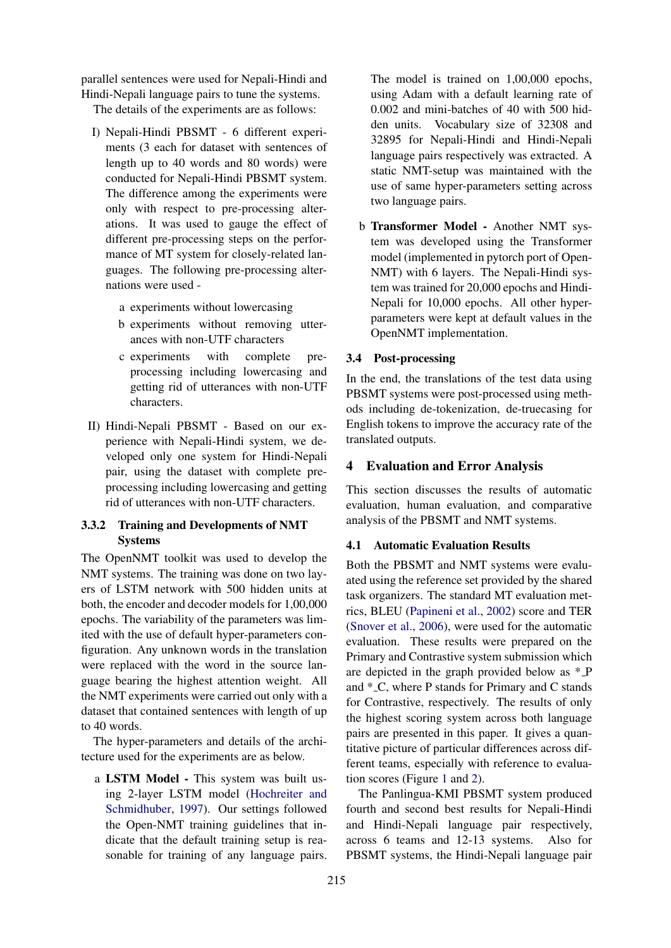parallel sentences were used for Nepali-Hindi and Hindi-Nepali language pairs to tune the systems.

The details of the experiments are as follows:

- I) Nepali-Hindi PBSMT 6 different experiments (3 each for dataset with sentences of length up to 40 words and 80 words) were conducted for Nepali-Hindi PBSMT system. The difference among the experiments were only with respect to pre-processing alterations. It was used to gauge the effect of different pre-processing steps on the performance of MT system for closely-related languages. The following pre-processing alternations were used
	- a experiments without lowercasing
	- b experiments without removing utterances with non-UTF characters
	- c experiments with complete preprocessing including lowercasing and getting rid of utterances with non-UTF characters.
- II) Hindi-Nepali PBSMT Based on our experience with Nepali-Hindi system, we developed only one system for Hindi-Nepali pair, using the dataset with complete preprocessing including lowercasing and getting rid of utterances with non-UTF characters.

## 3.3.2 Training and Developments of NMT Systems

The OpenNMT toolkit was used to develop the NMT systems. The training was done on two layers of LSTM network with 500 hidden units at both, the encoder and decoder models for 1,00,000 epochs. The variability of the parameters was limited with the use of default hyper-parameters configuration. Any unknown words in the translation were replaced with the word in the source language bearing the highest attention weight. All the NMT experiments were carried out only with a dataset that contained sentences with length of up to 40 words.

The hyper-parameters and details of the architecture used for the experiments are as below.

a LSTM Model - This system was built using 2-layer LSTM model [\(Hochreiter and](#page-5-9) [Schmidhuber,](#page-5-9) [1997\)](#page-5-9). Our settings followed the Open-NMT training guidelines that indicate that the default training setup is reasonable for training of any language pairs.

The model is trained on 1,00,000 epochs, using Adam with a default learning rate of 0.002 and mini-batches of 40 with 500 hidden units. Vocabulary size of 32308 and 32895 for Nepali-Hindi and Hindi-Nepali language pairs respectively was extracted. A static NMT-setup was maintained with the use of same hyper-parameters setting across two language pairs.

b Transformer Model - Another NMT system was developed using the Transformer model (implemented in pytorch port of Open-NMT) with 6 layers. The Nepali-Hindi system was trained for 20,000 epochs and Hindi-Nepali for 10,000 epochs. All other hyperparameters were kept at default values in the OpenNMT implementation.

### 3.4 Post-processing

In the end, the translations of the test data using PBSMT systems were post-processed using methods including de-tokenization, de-truecasing for English tokens to improve the accuracy rate of the translated outputs.

## 4 Evaluation and Error Analysis

This section discusses the results of automatic evaluation, human evaluation, and comparative analysis of the PBSMT and NMT systems.

## 4.1 Automatic Evaluation Results

Both the PBSMT and NMT systems were evaluated using the reference set provided by the shared task organizers. The standard MT evaluation metrics, BLEU [\(Papineni et al.,](#page-5-4) [2002\)](#page-5-4) score and TER [\(Snover et al.,](#page-5-5) [2006\)](#page-5-5), were used for the automatic evaluation. These results were prepared on the Primary and Contrastive system submission which are depicted in the graph provided below as \* P and \* C, where P stands for Primary and C stands for Contrastive, respectively. The results of only the highest scoring system across both language pairs are presented in this paper. It gives a quantitative picture of particular differences across different teams, especially with reference to evaluation scores (Figure [1](#page-3-0) and [2\)](#page-3-1).

The Panlingua-KMI PBSMT system produced fourth and second best results for Nepali-Hindi and Hindi-Nepali language pair respectively, across 6 teams and 12-13 systems. Also for PBSMT systems, the Hindi-Nepali language pair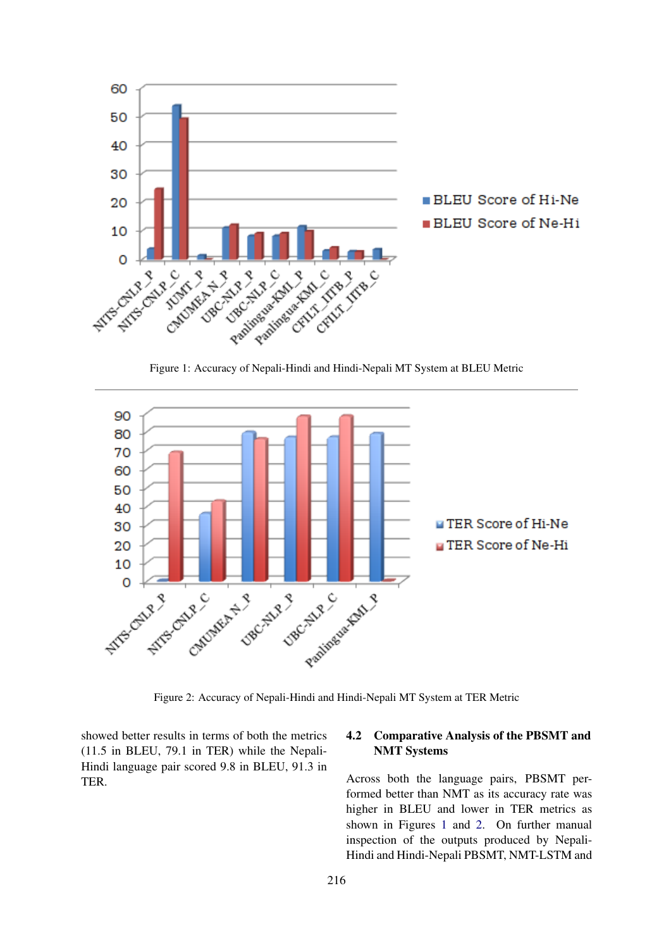<span id="page-3-0"></span>

Figure 1: Accuracy of Nepali-Hindi and Hindi-Nepali MT System at BLEU Metric

<span id="page-3-1"></span>

Figure 2: Accuracy of Nepali-Hindi and Hindi-Nepali MT System at TER Metric

showed better results in terms of both the metrics (11.5 in BLEU, 79.1 in TER) while the Nepali-Hindi language pair scored 9.8 in BLEU, 91.3 in TER.

### 4.2 Comparative Analysis of the PBSMT and NMT Systems

Across both the language pairs, PBSMT performed better than NMT as its accuracy rate was higher in BLEU and lower in TER metrics as shown in Figures [1](#page-3-0) and [2.](#page-3-1) On further manual inspection of the outputs produced by Nepali-Hindi and Hindi-Nepali PBSMT, NMT-LSTM and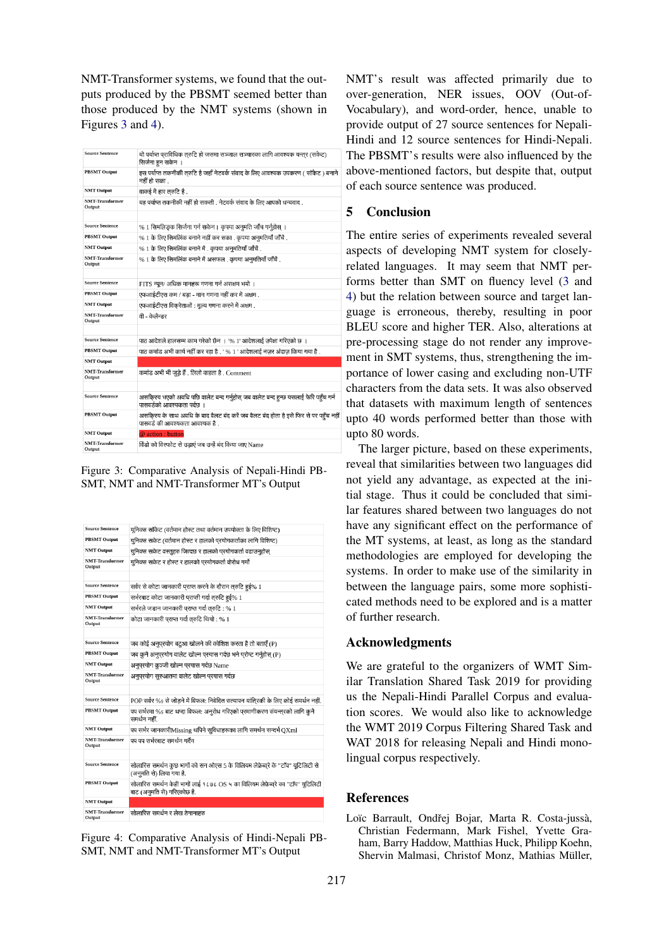NMT-Transformer systems, we found that the outputs produced by the PBSMT seemed better than those produced by the NMT systems (shown in Figures [3](#page-4-1) and [4\)](#page-4-2).

<span id="page-4-1"></span>

| <b>Source Sentence</b>           | यो पर्याप्त पराविधिक तरुटि हो जसमा सञ्जाल सञ्चारका लागि आवश्यक यन्तर (सकेट)<br>सिर्जना हन सकेन ।                        |
|----------------------------------|-------------------------------------------------------------------------------------------------------------------------|
| <b>PBSMT Output</b>              | इस पर्याप्त तकनीकी तरुटि है जहाँ नेटवर्क संवाद के लिए आवश्यक उपकरण ( सॉकेट ) बनाने<br>नहीं हो सका .                     |
| <b>NMT Output</b>                | वाकई में हार तरुटि है .                                                                                                 |
| <b>NMT-Transformer</b><br>Output | यह पर्याप्त तकनीकी नहीं हो सकती . नेटवर्क संवाद के लिए आपको धन्यवाद .                                                   |
|                                  |                                                                                                                         |
| <b>Source Sentence</b>           | % 1 सिमलिङक सिर्जना गर्न सकेन । कृपया अनुमति जाँच गर्नुहोस् ।                                                           |
| <b>PBSMT Output</b>              | $%1$ के लिए सिमलिंक बनाने नहीं कर सका . कृपया अनुमतियाँ जाँचें .                                                        |
| <b>NMT Output</b>                | $%1$ के लिए सिमलिंक बनाने में . कृपया अनुमतियाँ जाँचें .                                                                |
| <b>NMT</b> Transformer<br>Output | $%1$ के लिए सिमलिंक बनाने में असफल . कृपया अनुमतियाँ जाँचें .                                                           |
|                                  |                                                                                                                         |
| <b>Source Sentence</b>           | FITS न्यून/ अधिक मानहरू गणना गर्न असक्षम भयो ।                                                                          |
| <b>PBSMT Output</b>              | एफआईटीएस कम / बडा - मान गणना नहीं कर में अक्षम .                                                                        |
| <b>NMT Output</b>                | एफआईटीएस विकरेताओं : मूल्य गणना करने में अक्षम .                                                                        |
| <b>NMT-Transformer</b><br>Output | वी - केलैन्डर                                                                                                           |
|                                  |                                                                                                                         |
| <b>Source Sentence</b>           | पाठ आदेशले हालसम्म काम गरेको छैन । '% 1' आदेशलाई उपेक्षा गरिएको छ ।                                                     |
| <b>PBSMT Output</b>              | पाठ कमांड अभी कार्य नहीं कर रहा है . ' % 1 ' आदेशलाई नज़र अंदाज़ किया गया है .                                          |
| <b>NMT Output</b>                |                                                                                                                         |
| <b>NMT-Transformer</b><br>Output | कमांड अभी भी जुड़े हैं . लिलो कहता है . Comment                                                                         |
|                                  |                                                                                                                         |
| <b>Source Sentence</b>           | असकिरय भएको अवधि पछि वालेट बन्द गर्नुहोस् जब वालेट बन्द हन्छ यसलाई फेरि पहँच गर्न<br>पासवर्डको आवश्यकता पर्दछ ।         |
| <b>PBSMT Output</b>              | असकि्रय के साथ अवधि के बाद वैलट बंद करें जब वैलट बंद होता है इसे फिर से पर पहुँच नही<br>पासवर्ड की आवश्यकता आवश्यक है . |
| <b>NMT</b> Output                | @ action : button                                                                                                       |
| <b>NMT-Transformer</b><br>Output | विंडो को विस्फोट से उडाएं जब उन्हें बंद किया जाए Name                                                                   |

Figure 3: Comparative Analysis of Nepali-Hindi PB-SMT, NMT and NMT-Transformer MT's Output

<span id="page-4-2"></span>

| <b>Source Sentence</b>           | युनिक्स सॉकेट (वर्तमान होस्ट तथा वर्तमान उपयोक्ता के लिए विशिष्ट)                                             |
|----------------------------------|---------------------------------------------------------------------------------------------------------------|
| <b>PBSMT Output</b>              | यनिक्स सकेट (वर्तमान होस्ट र हालको परयोगकर्ताका लागि विशिष्ट)                                                 |
| <b>NMT Output</b>                | युनिक्स सकेट वस्तुहरु जित्दछ र हालको परयोगकर्ता वढाउनुहोस्                                                    |
| <b>NMT-Transformer</b><br>Output | युनिक्स सकेट र होस्ट र हालको परयोगकर्ता वोरोध गर्यो                                                           |
| <b>Source Sentence</b>           | सर्वर से कोटा जानकारी प्राप्त करने के दौरान तरुटि हुई% 1                                                      |
| <b>PBSMT Output</b>              | सर्भरबाट कोटा जानकारी पराप्ती गर्दा तरुटि हई% 1                                                               |
| <b>NMT Output</b>                | सर्भरले जडान जानकारी पराप्त गर्दा तरुटि : % 1                                                                 |
| <b>NMT-Transformer</b><br>Output | कोटा जानकारी पराप्त गर्दा तरुटि थियो : % 1                                                                    |
| <b>Source Sentence</b>           | जब कोई अनुपरयोग बटुआ खोलने की कोशिश करता है तो बताएँ (P)                                                      |
| <b>PBSMT Output</b>              | जब कनै अनपरयोग वालेट खोल्न परयास गर्दछ भने परोम्ट गर्नहोस (P)                                                 |
| <b>NMT Output</b>                | अनुपरयोग कुञ्जी खोल्न परयास गर्दछ Name                                                                        |
| <b>NMT-Transformer</b><br>Output | अनुपरयोग सुरुआतमा वालेट खोल्न परयास गर्दछ                                                                     |
| <b>Source Sentence</b>           | POP सर्वर %s से जोड़ने में विफल: निवेदित सत्यापन यांतिरकी के लिए कोई समर्थन नहीं.                             |
| <b>PBSMT Output</b>              | पप सर्भरमा %s बाट थप्दा विफल: अनुरोध गरिएको परमाणीकरण संयन्तरको लागि कनै<br>समर्थन नहीं                       |
| <b>NMT Output</b>                | पप सर्भर जानकारीMissing थपिने सुविधाहरूका लागि समर्थन सन्दर्भ QXml                                            |
| <b>NMT-Transformer</b><br>Output | पप पप सर्भरबाट समर्थन गर्दैन                                                                                  |
| <b>Source Sentence</b>           | सोलारिस समर्थन कुछ भागों को सन ओएस 5 के विलियम लेफ़ेब्वरे के "टॉप" यूटिलिटी से<br>(अनमति से) लिया गया है.     |
| <b>PBSMT Output</b>              | सोलारिस समर्थन केही भागों लाई १८७८ OS ५ का विलियम लेफ़ेब्वरे का "टॉप" युटिलिटी<br>बाट (अनुमति से) गरिएकोछ है. |
| <b>NMT Output</b>                |                                                                                                               |
| <b>NMT-Transformer</b><br>Output | सोलारिस समर्थन र लेख ठेगानाइरु                                                                                |

Figure 4: Comparative Analysis of Hindi-Nepali PB-SMT, NMT and NMT-Transformer MT's Output

NMT's result was affected primarily due to over-generation, NER issues, OOV (Out-of-Vocabulary), and word-order, hence, unable to provide output of 27 source sentences for Nepali-Hindi and 12 source sentences for Hindi-Nepali. The PBSMT's results were also influenced by the above-mentioned factors, but despite that, output of each source sentence was produced.

### 5 Conclusion

The entire series of experiments revealed several aspects of developing NMT system for closelyrelated languages. It may seem that NMT performs better than SMT on fluency level [\(3](#page-4-1) and [4\)](#page-4-2) but the relation between source and target language is erroneous, thereby, resulting in poor BLEU score and higher TER. Also, alterations at pre-processing stage do not render any improvement in SMT systems, thus, strengthening the importance of lower casing and excluding non-UTF characters from the data sets. It was also observed that datasets with maximum length of sentences upto 40 words performed better than those with upto 80 words.

The larger picture, based on these experiments, reveal that similarities between two languages did not yield any advantage, as expected at the initial stage. Thus it could be concluded that similar features shared between two languages do not have any significant effect on the performance of the MT systems, at least, as long as the standard methodologies are employed for developing the systems. In order to make use of the similarity in between the language pairs, some more sophisticated methods need to be explored and is a matter of further research.

### Acknowledgments

We are grateful to the organizers of WMT Similar Translation Shared Task 2019 for providing us the Nepali-Hindi Parallel Corpus and evaluation scores. We would also like to acknowledge the WMT 2019 Corpus Filtering Shared Task and WAT 2018 for releasing Nepali and Hindi monolingual corpus respectively.

#### References

<span id="page-4-0"></span>Loïc Barrault, Ondřej Bojar, Marta R. Costa-jussà, Christian Federmann, Mark Fishel, Yvette Graham, Barry Haddow, Matthias Huck, Philipp Koehn, Shervin Malmasi, Christof Monz, Mathias Müller,